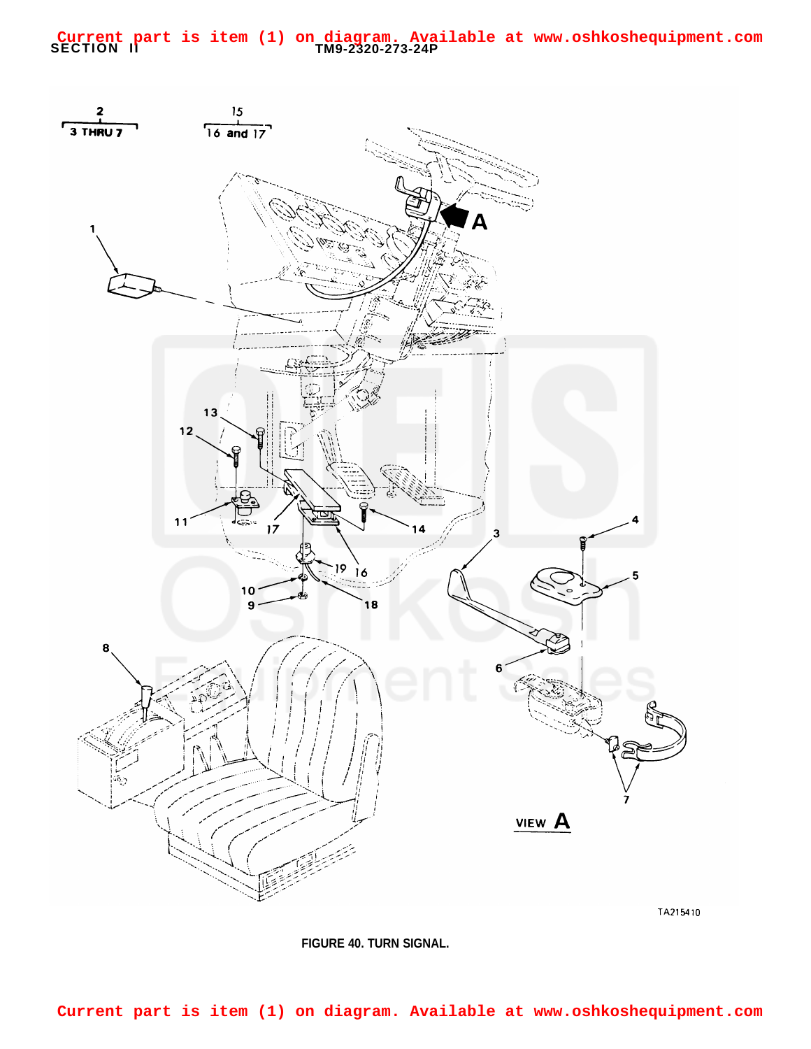## **SECTION II TM9-2320-273-24P Current part is item (1) on diagram. Available at www.oshkoshequipment.com**



**FIGURE 40. TURN SIGNAL.**